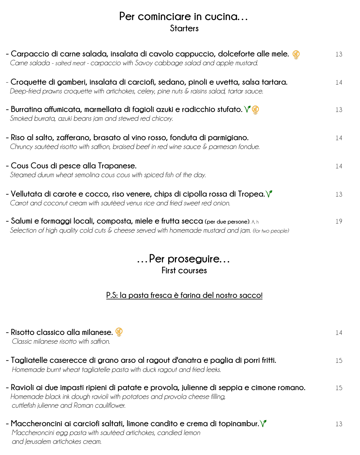#### **Per cominciare in cucina… Starters**

| - Carpaccio di carne salada, insalata di cavolo cappuccio, dolceforte alle mele.<br>Carne salada - salted meat - carpaccio with Savoy cabbage salad and apple mustard.                    | 13 |
|-------------------------------------------------------------------------------------------------------------------------------------------------------------------------------------------|----|
| - Croquette di gamberi, insalata di carciofi, sedano, pinoli e uvetta, salsa tartara.<br>Deep-fried prawns croquette with artichokes, celery, pine nuts & raisins salad, tartar sauce.    | 14 |
| - Burratina affumicata, marmellata di fagioli azuki e radicchio stufato. $\sqrt{\frac{2}{3}}$<br>Smoked burrata, azuki beans jam and stewed red chicory.                                  | 13 |
| - Riso al salto, zafferano, brasato al vino rosso, fonduta di parmigiano.<br>Chruncy sautéed risotto with saffron, braised beef in red wine sauce & parmesan fondue.                      | 14 |
| - Cous Cous di pesce alla Trapanese.<br>Steamed durum wheat semolina cous cous with spiced fish of the day.                                                                               | 14 |
| - Vellutata di carote e cocco, riso venere, chips di cipolla rossa di Tropea. $\sqrt{\ }$<br>Carrot and coconut cream with sauteed venus rice and fried sweet red onion.                  | 13 |
| - Salumi e formaggi locali, composta, miele e frutta secca (per due persone). A, h<br>Selection of high quality cold cuts & cheese served with homemade mustard and jam. (for two people) | 19 |

#### **…Per proseguire… First courses**

#### **P.S: la pasta fresca è farina del nostro sacco!**

| - Risotto classico alla milanese. <sup>2</sup><br>Classic milanese risotto with saffron.                                                                                                                              |    |
|-----------------------------------------------------------------------------------------------------------------------------------------------------------------------------------------------------------------------|----|
| - Tagliatelle caserecce di grano arso al ragout d'anatra e paglia di porri fritti.<br>Homemade burnt wheat tagliatelle pasta with duck ragout and fried leeks.                                                        | 15 |
| - Ravioli ai due impasti ripieni di patate e provola, julienne di seppia e cimone romano.<br>Homemade black ink dough ravioli with potatoes and provola cheese filling,<br>cuttlefish julienne and Roman cauliflower. | 15 |
| - Maccheroncini ai carciofi saltati, limone candito e crema di topinambur. $\sqrt{\ }$<br>Maccheroncini egg pasta with sautèed artichokes, candied lemon<br>and Jerusalem artichokes cream.                           | 13 |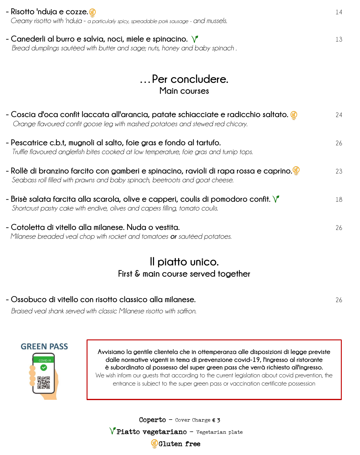| - Risotto 'nduja e cozze. @<br>Creamy risotto with 'nduja - a particularly spicy, spreadable pork sausage - and mussels.                                                           | 14 |
|------------------------------------------------------------------------------------------------------------------------------------------------------------------------------------|----|
| - Canederli al burro e salvia, noci, miele e spinacino. $\sqrt{\ }$<br>Bread dumplings sauteed with butter and sage; nuts, honey and baby spinach.                                 | 13 |
| Per concludere.<br>Main courses                                                                                                                                                    |    |
| - Coscia d'oca confit laccata all'arancia, patate schiacciate e radicchio saltato. $\circledast$<br>Orange flavoured confit goose leg with mashed potatoes and stewed red chicory. | 24 |
| - Pescatrice c.b.t, mugnoli al salto, foie gras e fondo al tartufo.<br>Truffle flavoured anglerfish bites cooked at low temperature, foie gras and turnip tops.                    | 26 |
| - Rollè di branzino farcito con gamberi e spinacino, ravioli di rapa rossa e caprino.<br>Seabass roll filled with prawns and baby spinach, beetroots and goat cheese.              | 23 |
| - Brisè salata farcita alla scarola, olive e capperi, coulis di pomodoro confit. $\sqrt{\ }$<br>Shortcrust pastry cake with endive, olives and capers filling, tomato coulis.      | 18 |
| - Cotoletta di vitello alla milanese. Nuda o vestita.<br>Milanese breaded veal chop with rocket and tomatoes or sautéed potatoes.                                                  | 26 |

#### **Il piatto unico. First & main course served together**

#### **- Ossobuco di vitello con risotto classico alla milanese.** 26

*Braised veal shank served with classic Milanese risotto with saffron.*

# **GREEN PASS**

回避回 の<br>回答<br>回答

 **Avvisiamo la gentile clientela che in ottemperanza alle disposizioni di legge previste dalle normative vigenti in tema di prevenzione covid-19, l'ingresso al ristorante**  ار<br>لہ **è subordinato al possesso del super green pass che verrà richiesto all'ingresso.** We wish inform our guests that according to the current legislation about covid prevention, the .<br>SL  $\overline{a}$ entrance is subject to the super green pass or vaccination certificate possession

 $\texttt{Coperto} - \texttt{Cover}$  Charge  $\bm{\epsilon}$  3

i

Piatto vegetariano - Vegetarian plate

**Gluten free**